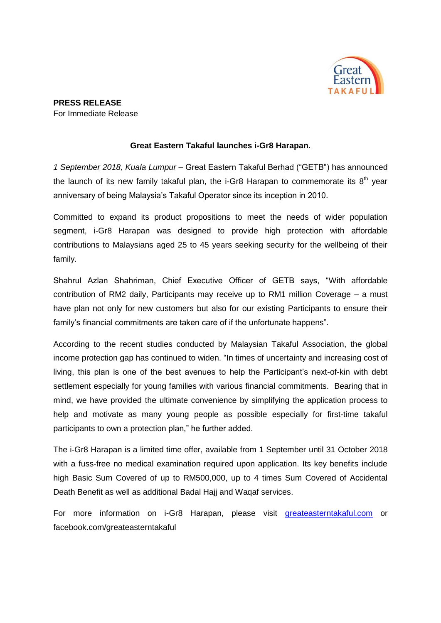

## **Great Eastern Takaful launches i-Gr8 Harapan.**

*1 September 2018, Kuala Lumpur* – Great Eastern Takaful Berhad ("GETB") has announced the launch of its new family takaful plan, the i-Gr8 Harapan to commemorate its  $8<sup>th</sup>$  year anniversary of being Malaysia's Takaful Operator since its inception in 2010.

Committed to expand its product propositions to meet the needs of wider population segment, i-Gr8 Harapan was designed to provide high protection with affordable contributions to Malaysians aged 25 to 45 years seeking security for the wellbeing of their family.

Shahrul Azlan Shahriman, Chief Executive Officer of GETB says, "With affordable contribution of RM2 daily, Participants may receive up to RM1 million Coverage – a must have plan not only for new customers but also for our existing Participants to ensure their family's financial commitments are taken care of if the unfortunate happens".

According to the recent studies conducted by Malaysian Takaful Association, the global income protection gap has continued to widen. "In times of uncertainty and increasing cost of living, this plan is one of the best avenues to help the Participant's next-of-kin with debt settlement especially for young families with various financial commitments. Bearing that in mind, we have provided the ultimate convenience by simplifying the application process to help and motivate as many young people as possible especially for first-time takaful participants to own a protection plan," he further added.

The i-Gr8 Harapan is a limited time offer, available from 1 September until 31 October 2018 with a fuss-free no medical examination required upon application. Its key benefits include high Basic Sum Covered of up to RM500,000, up to 4 times Sum Covered of Accidental Death Benefit as well as additional Badal Hajj and Waqaf services.

For more information on i-Gr8 Harapan, please visit [greateasterntakaful.com](http://www.greateasterntakaful.com/) or facebook.com/greateasterntakaful